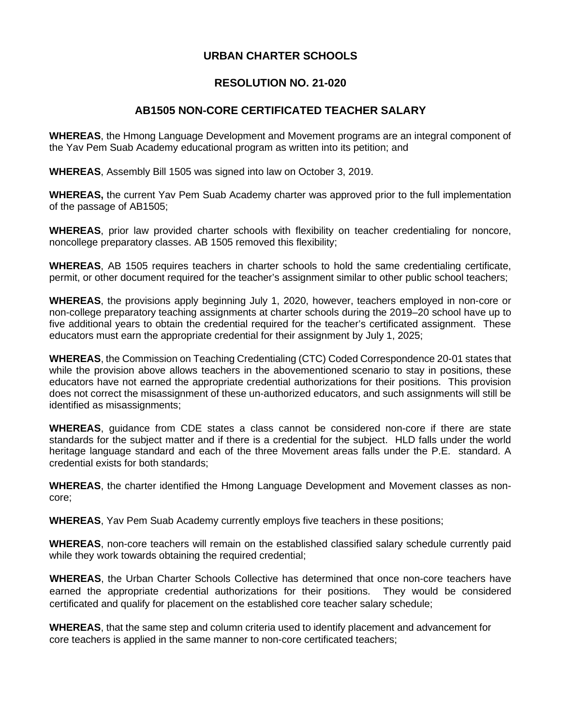## **URBAN CHARTER SCHOOLS**

## **RESOLUTION NO. 21-020**

## **AB1505 NON-CORE CERTIFICATED TEACHER SALARY**

**WHEREAS**, the Hmong Language Development and Movement programs are an integral component of the Yav Pem Suab Academy educational program as written into its petition; and

**WHEREAS**, Assembly Bill 1505 was signed into law on October 3, 2019.

**WHEREAS,** the current Yav Pem Suab Academy charter was approved prior to the full implementation of the passage of AB1505;

**WHEREAS**, prior law provided charter schools with flexibility on teacher credentialing for noncore, noncollege preparatory classes. AB 1505 removed this flexibility;

**WHEREAS**, AB 1505 requires teachers in charter schools to hold the same credentialing certificate, permit, or other document required for the teacher's assignment similar to other public school teachers;

**WHEREAS**, the provisions apply beginning July 1, 2020, however, teachers employed in non-core or non-college preparatory teaching assignments at charter schools during the 2019–20 school have up to five additional years to obtain the credential required for the teacher's certificated assignment. These educators must earn the appropriate credential for their assignment by July 1, 2025;

**WHEREAS**, the Commission on Teaching Credentialing (CTC) Coded Correspondence 20-01 states that while the provision above allows teachers in the abovementioned scenario to stay in positions, these educators have not earned the appropriate credential authorizations for their positions. This provision does not correct the misassignment of these un-authorized educators, and such assignments will still be identified as misassignments;

**WHEREAS**, guidance from CDE states a class cannot be considered non-core if there are state standards for the subject matter and if there is a credential for the subject. HLD falls under the world heritage language standard and each of the three Movement areas falls under the P.E. standard. A credential exists for both standards;

**WHEREAS**, the charter identified the Hmong Language Development and Movement classes as noncore;

**WHEREAS**, Yav Pem Suab Academy currently employs five teachers in these positions;

**WHEREAS**, non-core teachers will remain on the established classified salary schedule currently paid while they work towards obtaining the required credential:

**WHEREAS**, the Urban Charter Schools Collective has determined that once non-core teachers have earned the appropriate credential authorizations for their positions. They would be considered certificated and qualify for placement on the established core teacher salary schedule;

**WHEREAS**, that the same step and column criteria used to identify placement and advancement for core teachers is applied in the same manner to non-core certificated teachers;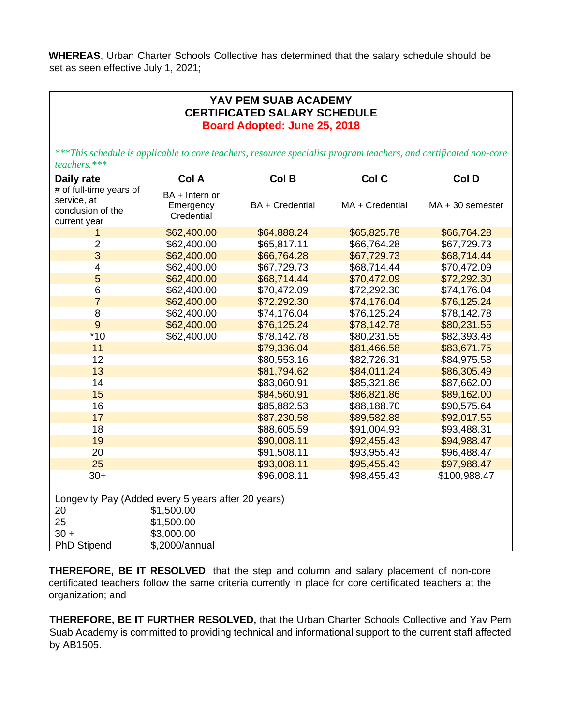**WHEREAS**, Urban Charter Schools Collective has determined that the salary schedule should be set as seen effective July 1, 2021;

## **YAV PEM SUAB ACADEMY CERTIFICATED SALARY SCHEDULE Board Adopted: June 25, 2018**

*\*\*\*This schedule is applicable to core teachers, resource specialist program teachers, and certificated non-core teachers.\*\*\**

| Daily rate                                                                  | Col A                                     | Col B           | Col C           | Col D              |
|-----------------------------------------------------------------------------|-------------------------------------------|-----------------|-----------------|--------------------|
| # of full-time years of<br>service, at<br>conclusion of the<br>current year | BA + Intern or<br>Emergency<br>Credential | BA + Credential | MA + Credential | $MA + 30$ semester |
| 1                                                                           | \$62,400.00                               | \$64,888.24     | \$65,825.78     | \$66,764.28        |
| $\overline{2}$                                                              | \$62,400.00                               | \$65,817.11     | \$66,764.28     | \$67,729.73        |
| 3                                                                           | \$62,400.00                               | \$66,764.28     | \$67,729.73     | \$68,714.44        |
| $\overline{\mathcal{A}}$                                                    | \$62,400.00                               | \$67,729.73     | \$68,714.44     | \$70,472.09        |
| 5                                                                           | \$62,400.00                               | \$68,714.44     | \$70,472.09     | \$72,292.30        |
| 6                                                                           | \$62,400.00                               | \$70,472.09     | \$72,292.30     | \$74,176.04        |
| $\overline{7}$                                                              | \$62,400.00                               | \$72,292.30     | \$74,176.04     | \$76,125.24        |
| 8                                                                           | \$62,400.00                               | \$74,176.04     | \$76,125.24     | \$78,142.78        |
| 9                                                                           | \$62,400.00                               | \$76,125.24     | \$78,142.78     | \$80,231.55        |
| $*10$                                                                       | \$62,400.00                               | \$78,142.78     | \$80,231.55     | \$82,393.48        |
| 11                                                                          |                                           | \$79,336.04     | \$81,466.58     | \$83,671.75        |
| 12                                                                          |                                           | \$80,553.16     | \$82,726.31     | \$84,975.58        |
| 13                                                                          |                                           | \$81,794.62     | \$84,011.24     | \$86,305.49        |
| 14                                                                          |                                           | \$83,060.91     | \$85,321.86     | \$87,662.00        |
| 15                                                                          |                                           | \$84,560.91     | \$86,821.86     | \$89,162.00        |
| 16                                                                          |                                           | \$85,882.53     | \$88,188.70     | \$90,575.64        |
| 17                                                                          |                                           | \$87,230.58     | \$89,582.88     | \$92,017.55        |
| 18                                                                          |                                           | \$88,605.59     | \$91,004.93     | \$93,488.31        |
| 19                                                                          |                                           | \$90,008.11     | \$92,455.43     | \$94,988.47        |
| 20                                                                          |                                           | \$91,508.11     | \$93,955.43     | \$96,488.47        |
| 25                                                                          |                                           | \$93,008.11     | \$95,455.43     | \$97,988.47        |
| $30+$                                                                       |                                           | \$96,008.11     | \$98,455.43     | \$100,988.47       |
| Longevity Pay (Added every 5 years after 20 years)                          |                                           |                 |                 |                    |
| 20                                                                          | \$1,500.00                                |                 |                 |                    |
| 25                                                                          | \$1,500.00                                |                 |                 |                    |
| $30 +$                                                                      | \$3,000.00                                |                 |                 |                    |
| <b>PhD Stipend</b>                                                          | \$,2000/annual                            |                 |                 |                    |

**THEREFORE, BE IT RESOLVED**, that the step and column and salary placement of non-core certificated teachers follow the same criteria currently in place for core certificated teachers at the organization; and

**THEREFORE, BE IT FURTHER RESOLVED,** that the Urban Charter Schools Collective and Yav Pem Suab Academy is committed to providing technical and informational support to the current staff affected by AB1505.